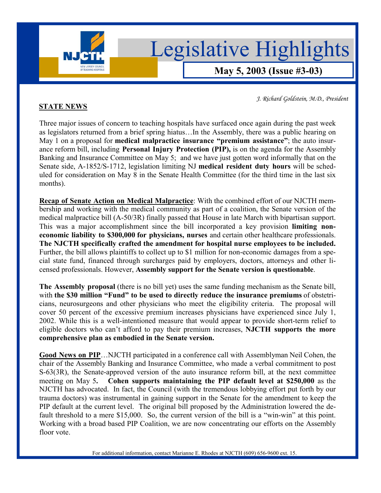

**May 5, 2003 (Issue #3-03)**

*J. Richard Goldstein, M.D., President* 

## **STATE NEWS**

Three major issues of concern to teaching hospitals have surfaced once again during the past week as legislators returned from a brief spring hiatus...In the Assembly, there was a public hearing on May 1 on a proposal for **medical malpractice insurance "premium assistance**"; the auto insurance reform bill, including **Personal Injury Protection (PIP),** is on the agenda for the Assembly Banking and Insurance Committee on May 5; and we have just gotten word informally that on the Senate side, A-1852/S-1712, legislation limiting NJ **medical resident duty hours** will be scheduled for consideration on May 8 in the Senate Health Committee (for the third time in the last six months).

**Recap of Senate Action on Medical Malpractice**: With the combined effort of our NJCTH membership and working with the medical community as part of a coalition, the Senate version of the medical malpractice bill (A-50/3R) finally passed that House in late March with bipartisan support. This was a major accomplishment since the bill incorporated a key provision **limiting noneconomic liability to \$300,000 for physicians, nurses** and certain other healthcare professionals. **The NJCTH specifically crafted the amendment for hospital nurse employees to be included.**  Further, the bill allows plaintiffs to collect up to \$1 million for non-economic damages from a special state fund, financed through surcharges paid by employers, doctors, attorneys and other licensed professionals. However, **Assembly support for the Senate version is questionable**.

**The Assembly proposal** (there is no bill yet) uses the same funding mechanism as the Senate bill, with **the \$30 million "Fund" to be used to directly reduce the insurance premiums** of obstetricians, neurosurgeons and other physicians who meet the eligibility criteria. The proposal will cover 50 percent of the excessive premium increases physicians have experienced since July 1, 2002. While this is a well-intentioned measure that would appear to provide short-term relief to eligible doctors who can't afford to pay their premium increases, **NJCTH** supports the more **comprehensive plan as embodied in the Senate version.** 

**Good News on PIP**...NJCTH participated in a conference call with Assemblyman Neil Cohen, the chair of the Assembly Banking and Insurance Committee, who made a verbal commitment to post S-63(3R), the Senate-approved version of the auto insurance reform bill, at the next committee meeting on May 5**. Cohen supports maintaining the PIP default level at \$250,000** as the NJCTH has advocated. In fact, the Council (with the tremendous lobbying effort put forth by our trauma doctors) was instrumental in gaining support in the Senate for the amendment to keep the PIP default at the current level. The original bill proposed by the Administration lowered the default threshold to a mere \$15,000. So, the current version of the bill is a "win-win" at this point. Working with a broad based PIP Coalition, we are now concentrating our efforts on the Assembly floor vote.